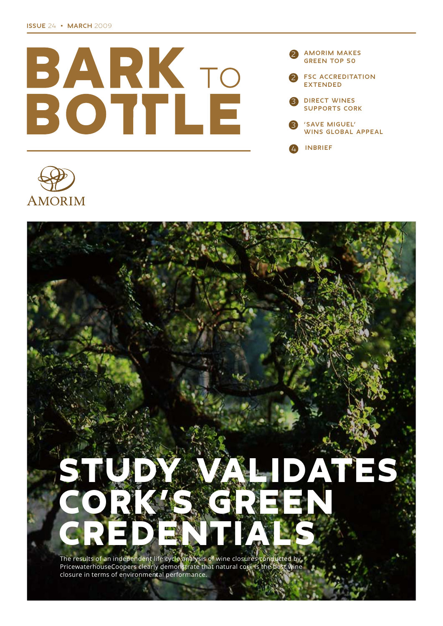





The results of an independent life cycle analysis of wine closures conducted by<br>PricewaterhouseCoopers clearly demonstrate that natural cork is the best wine<br>closure in terms of environmental performance.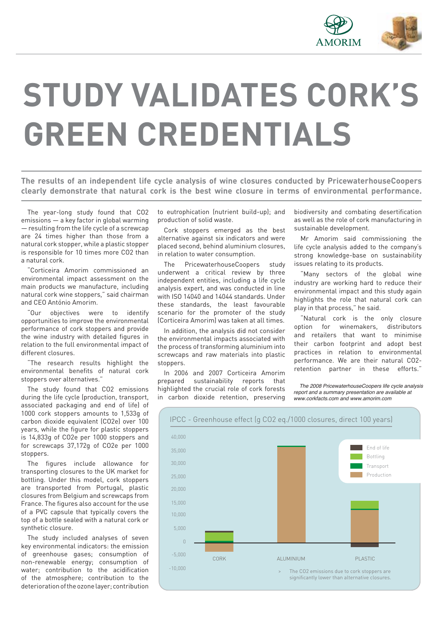

# **STUDY VALIDATES CORK'S GREEN CREDENTIALS**

**The results of an independent life cycle analysis of wine closures conducted by PricewaterhouseCoopers clearly demonstrate that natural cork is the best wine closure in terms of environmental performance.**

The year-long study found that CO2 emissions — a key factor in global warming — resulting from the life cycle of a screwcap are 24 times higher than those from a natural cork stopper, while a plastic stopper is responsible for 10 times more CO2 than a natural cork.

"Corticeira Amorim commissioned an environmental impact assessment on the main products we manufacture, including natural cork wine stoppers," said chairman and CEO António Amorim.

"Our objectives were to identify opportunities to improve the environmental performance of cork stoppers and provide the wine industry with detailed figures in relation to the full environmental impact of different closures.

The research results highlight the environmental benefits of natural cork stoppers over alternatives."

The study found that CO2 emissions during the life cycle (production, transport, associated packaging and end of life) of 1000 cork stoppers amounts to 1,533g of carbon dioxide equivalent (CO2e) over 100 years, while the figure for plastic stoppers is 14,833g of CO2e per 1000 stoppers and for screwcaps 37,172g of CO2e per 1000 stoppers.

The figures include allowance for transporting closures to the UK market for bottling. Under this model, cork stoppers are transported from Portugal, plastic closures from Belgium and screwcaps from France. The figures also account for the use of a PVC capsule that typically covers the top of a bottle sealed with a natural cork or synthetic closure.

The study included analyses of seven key environmental indicators: the emission of greenhouse gases; consumption of non-renewable energy; consumption of water; contribution to the acidification of the atmosphere; contribution to the deteriorationoftheozonelayer;contribution

to eutrophication (nutrient build-up); and production of solid waste.

Cork stoppers emerged as the best alternative against six indicators and were placed second, behind aluminium closures, in relation to water consumption.

The PricewaterhouseCoopers study underwent a critical review by three independent entities, including a life cycle analysis expert, and was conducted in line with ISO 14040 and 14044 standards. Under these standards, the least favourable scenario for the promoter of the study (Corticeira Amorim) was taken at all times.

In addition, the analysis did not consider the environmental impacts associated with the process of transforming aluminium into screwcaps and raw materials into plastic stoppers.

In 2006 and 2007 Corticeira Amorim prepared sustainability reports that highlighted the crucial role of cork forests in carbon dioxide retention, preserving biodiversity and combating desertification as well as the role of cork manufacturing in sustainable development.

Mr Amorim said commissioning the life cycle analysis added to the company's strong knowledge-base on sustainability issues relating to its products.

"Many sectors of the global wine industry are working hard to reduce their environmental impact and this study again highlights the role that natural cork can play in that process," he said.

"Natural cork is the only closure option for winemakers, distributors and retailers that want to minimise their carbon footprint and adopt best practices in relation to environmental performance. We are their natural CO2 retention partner in these efforts."

 *The 2008 PricewaterhouseCoopers life cycle analysis report and a summary presentation are available at www.corkfacts.com and www.amorim.com*

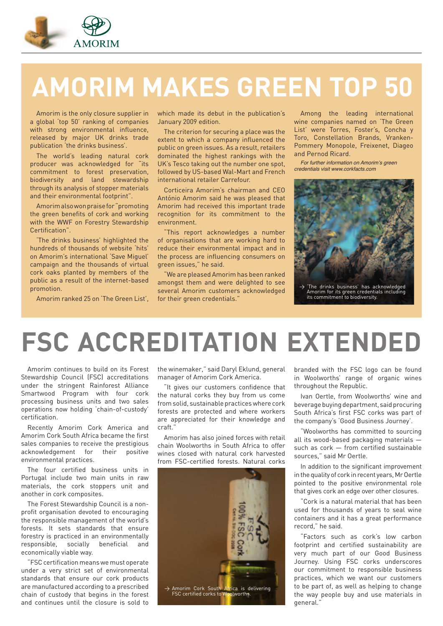

## **AMORIM MAKES GREEN TOP 50**

Amorim is the only closure supplier in a global 'top 50' ranking of companies with strong environmental influence, released by major UK drinks trade publication 'the drinks business'.

The world's leading natural cork producer was acknowledged for "its commitment to forest preservation, biodiversity and land stewardship through its analysis of stopper materials and their environmental footprint".

Amorim also won praise for "promoting the green benefits of cork and working with the WWF on Forestry Stewardship Certification".

'The drinks business' highlighted the hundreds of thousands of website 'hits' on Amorim's international 'Save Miguel' campaign and the thousands of virtual cork oaks planted by members of the public as a result of the internet-based promotion.

Amorim ranked 25 on 'The Green List',

which made its debut in the publication's January 2009 edition.

The criterion for securing a place was the extent to which a company influenced the public on green issues. As a result, retailers dominated the highest rankings with the UK's Tesco taking out the number one spot, followed by US-based Wal-Mart and French international retailer Carrefour.

Corticeira Amorim's chairman and CEO António Amorim said he was pleased that Amorim had received this important trade recognition for its commitment to the environment.

"This report acknowledges a number of organisations that are working hard to reduce their environmental impact and in the process are influencing consumers on green issues," he said.

"We are pleased Amorim has been ranked amongst them and were delighted to see several Amorim customers acknowledged for their green credentials."

Among the leading international wine companies named on 'The Green List' were Torres, Foster's, Concha y Toro, Constellation Brands, Vranken-Pommery Monopole, Freixenet, Diageo and Pernod Ricard.

For further information on Amorim's green credentials visit www.corkfacts.com



## **FSC ACCREDITATION EXTENDED**

Amorim continues to build on its Forest Stewardship Council (FSC) accreditations under the stringent Rainforest Alliance Smartwood Program with four cork processing business units and two sales operations now holding 'chain-of-custody' certification.

Recently Amorim Cork America and Amorim Cork South Africa became the first sales companies to receive the prestigious acknowledgement for their positive environmental practices.

The four certified business units in Portugal include two main units in raw materials, the cork stoppers unit and another in cork composites.

The Forest Stewardship Council is a nonprofit organisation devoted to encouraging the responsible management of the world's forests. It sets standards that ensure forestry is practiced in an environmentally responsible, socially beneficial and economically viable way.

"FSC certification means we must operate under a very strict set of environmental standards that ensure our cork products are manufactured according to a prescribed chain of custody that begins in the forest and continues until the closure is sold to

the winemaker," said Daryl Eklund, general manager of Amorim Cork America.

"It gives our customers confidence that the natural corks they buy from us come from solid, sustainable practices where cork forests are protected and where workers are appreciated for their knowledge and craft."

Amorim has also joined forces with retail chain Woolworths in South Africa to offer wines closed with natural cork harvested from FSC-certified forests. Natural corks



branded with the FSC logo can be found in Woolworths' range of organic wines throughout the Republic.

Ivan Oertle, from Woolworths' wine and beverage buying department, said procuring South Africa's first FSC corks was part of the company's 'Good Business Journey'.

"Woolworths has committed to sourcing all its wood-based packaging materials such as cork — from certified sustainable sources," said Mr Oertle.

In addition to the significant improvement in the quality of cork in recent years, Mr Oertle pointed to the positive environmental role that gives cork an edge over other closures.

"Cork is a natural material that has been used for thousands of years to seal wine containers and it has a great performance record," he said.

"Factors such as cork's low carbon footprint and certified sustainability are very much part of our Good Business Journey. Using FSC corks underscores our commitment to responsible business practices, which we want our customers to be part of, as well as helping to change the way people buy and use materials in general."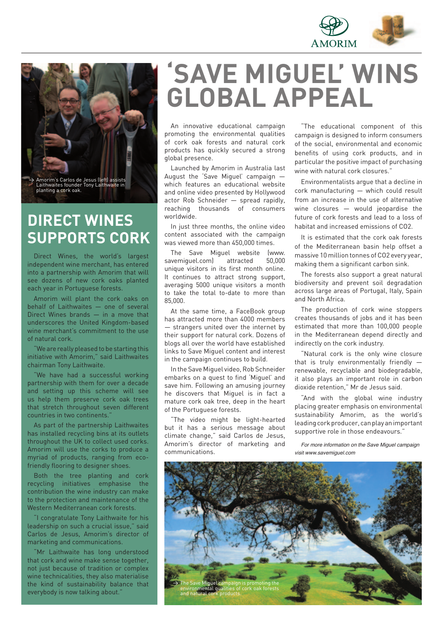



### **DIRECT WINES SUPPORTS CORK**

Direct Wines, the world's largest independent wine merchant, has entered into a partnership with Amorim that will see dozens of new cork oaks planted each year in Portuguese forests.

Amorim will plant the cork oaks on behalf of Laithwaites — one of several Direct Wines brands — in a move that underscores the United Kingdom-based wine merchant's commitment to the use of natural cork.

"We are really pleased to be starting this initiative with Amorim," said Laithwaites chairman Tony Laithwaite.

"We have had a successful working partnership with them for over a decade and setting up this scheme will see us help them preserve cork oak trees that stretch throughout seven different countries in two continents."

As part of the partnership Laithwaites has installed recycling bins at its outlets throughout the UK to collect used corks. Amorim will use the corks to produce a myriad of products, ranging from ecofriendly flooring to designer shoes.

Both the tree planting and cork recycling initiatives emphasise the contribution the wine industry can make to the protection and maintenance of the Western Mediterranean cork forests.

"I congratulate Tony Laithwaite for his leadership on such a crucial issue," said Carlos de Jesus, Amorim's director of marketing and communications.

"Mr Laithwaite has long understood that cork and wine make sense together, not just because of tradition or complex wine technicalities, they also materialise the kind of sustainability balance that everybody is now talking about."

### **'SAVE MIGUEL' WINS GLOBAL APPEAL**

An innovative educational campaign promoting the environmental qualities of cork oak forests and natural cork products has quickly secured a strong global presence.

Launched by Amorim in Australia last August the 'Save Miguel' campaign which features an educational website and online video presented by Hollywood actor Rob Schneider — spread rapidly, reaching thousands of consumers worldwide.

In just three months, the online video content associated with the campaign was viewed more than 450,000 times.

The Save Miguel website (www. savemiguel.com) attracted 50,000 unique visitors in its first month online. It continues to attract strong support, averaging 5000 unique visitors a month to take the total to-date to more than 85,000.

At the same time, a FaceBook group has attracted more than 4000 members — strangers united over the internet by their support for natural cork. Dozens of blogs all over the world have established links to Save Miguel content and interest in the campaign continues to build.

In the Save Miguel video, Rob Schneider embarks on a quest to find 'Miguel' and save him. Following an amusing journey he discovers that Miguel is in fact a mature cork oak tree, deep in the heart of the Portuguese forests.

"The video might be light-hearted but it has a serious message about climate change," said Carlos de Jesus, Amorim's director of marketing and communications.

"The educational component of this campaign is designed to inform consumers of the social, environmental and economic benefits of using cork products, and in particular the positive impact of purchasing wine with natural cork closures."

Environmentalists argue that a decline in cork manufacturing — which could result from an increase in the use of alternative wine closures — would jeopardise the future of cork forests and lead to a loss of habitat and increased emissions of CO2.

It is estimated that the cork oak forests of the Mediterranean basin help offset a massive 10 million tonnes of CO2 every year, making them a significant carbon sink.

The forests also support a great natural biodiversity and prevent soil degradation across large areas of Portugal, Italy, Spain and North Africa.

The production of cork wine stoppers creates thousands of jobs and it has been estimated that more than 100,000 people in the Mediterranean depend directly and indirectly on the cork industry.

"Natural cork is the only wine closure that is truly environmentally friendly renewable, recyclable and biodegradable, it also plays an important role in carbon dioxide retention," Mr de Jesus said.

"And with the global wine industry placing greater emphasis on environmental sustainability Amorim, as the world's leading cork producer, can play an important supportive role in those endeavours."

For more information on the Save Miquel campaign visit www.savemiquel.com